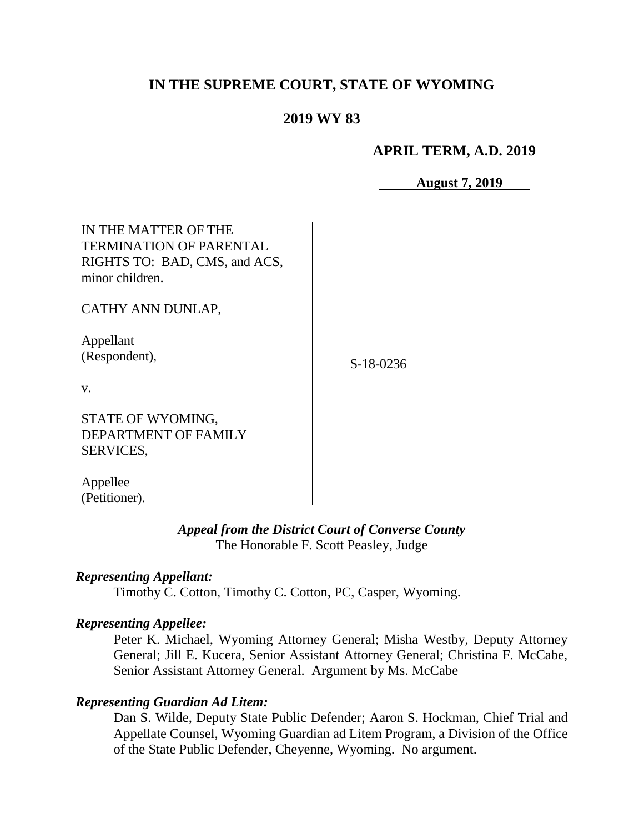# **IN THE SUPREME COURT, STATE OF WYOMING**

# **2019 WY 83**

## **APRIL TERM, A.D. 2019**

**August 7, 2019**

| IN THE MATTER OF THE<br><b>TERMINATION OF PARENTAL</b><br>RIGHTS TO: BAD, CMS, and ACS,<br>minor children. |             |
|------------------------------------------------------------------------------------------------------------|-------------|
| CATHY ANN DUNLAP,                                                                                          |             |
| Appellant<br>(Respondent),                                                                                 | $S-18-0236$ |
| V.                                                                                                         |             |
| STATE OF WYOMING,<br>DEPARTMENT OF FAMILY<br><b>SERVICES,</b>                                              |             |

Appellee (Petitioner).

## *Appeal from the District Court of Converse County* The Honorable F. Scott Peasley, Judge

#### *Representing Appellant:*

Timothy C. Cotton, Timothy C. Cotton, PC, Casper, Wyoming.

### *Representing Appellee:*

Peter K. Michael, Wyoming Attorney General; Misha Westby, Deputy Attorney General; Jill E. Kucera, Senior Assistant Attorney General; Christina F. McCabe, Senior Assistant Attorney General. Argument by Ms. McCabe

### *Representing Guardian Ad Litem:*

Dan S. Wilde, Deputy State Public Defender; Aaron S. Hockman, Chief Trial and Appellate Counsel, Wyoming Guardian ad Litem Program, a Division of the Office of the State Public Defender, Cheyenne, Wyoming. No argument.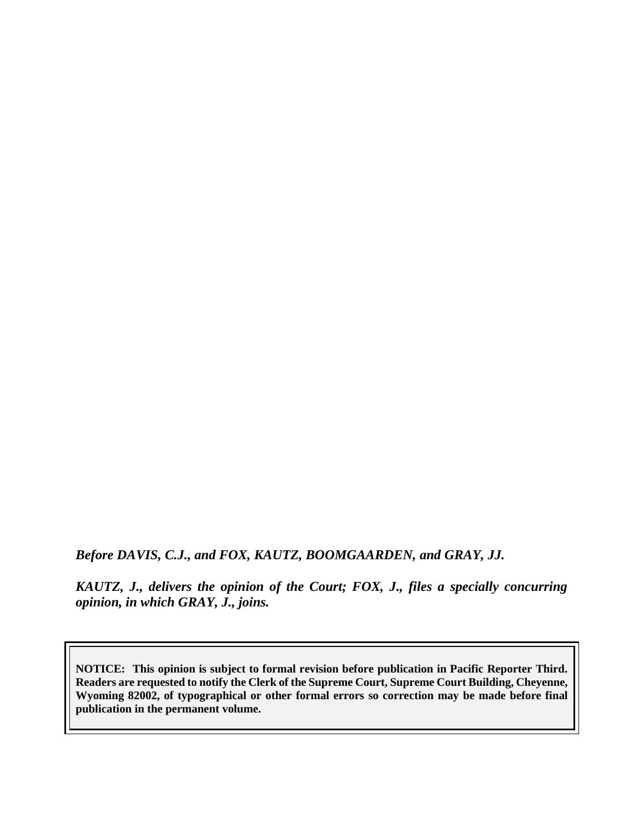*Before DAVIS, C.J., and FOX, KAUTZ, BOOMGAARDEN, and GRAY, JJ.*

*KAUTZ, J., delivers the opinion of the Court; FOX, J., files a specially concurring opinion, in which GRAY, J., joins.*

**NOTICE: This opinion is subject to formal revision before publication in Pacific Reporter Third. Readers are requested to notify the Clerk of the Supreme Court, Supreme Court Building, Cheyenne, Wyoming 82002, of typographical or other formal errors so correction may be made before final publication in the permanent volume.**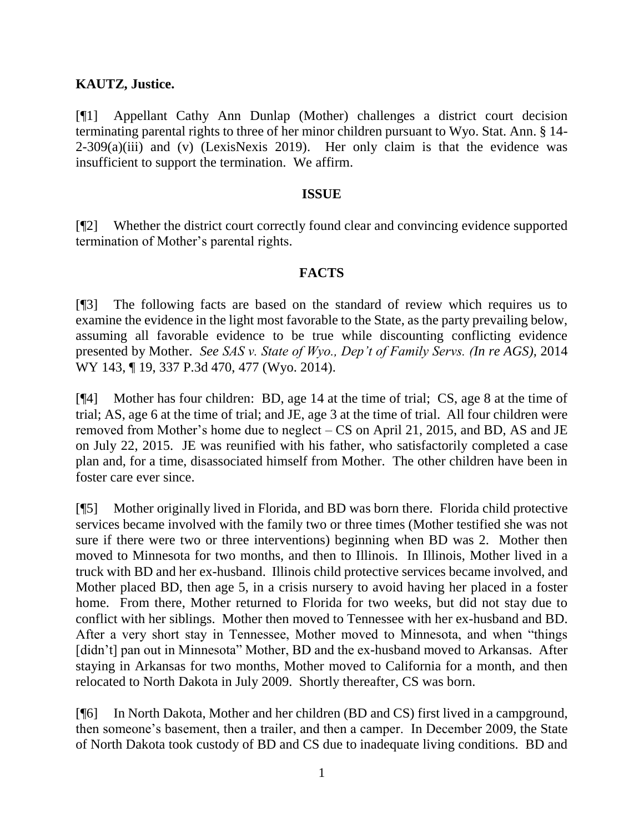## **KAUTZ, Justice.**

[¶1] Appellant Cathy Ann Dunlap (Mother) challenges a district court decision terminating parental rights to three of her minor children pursuant to Wyo. Stat. Ann. § 14-  $2-309(a)(iii)$  and (v) (LexisNexis 2019). Her only claim is that the evidence was insufficient to support the termination. We affirm.

### **ISSUE**

[¶2] Whether the district court correctly found clear and convincing evidence supported termination of Mother's parental rights.

### **FACTS**

[¶3] The following facts are based on the standard of review which requires us to examine the evidence in the light most favorable to the State, as the party prevailing below, assuming all favorable evidence to be true while discounting conflicting evidence presented by Mother. *See SAS v. State of Wyo., Dep't of Family Servs. (In re AGS),* 2014 WY 143, ¶ 19, 337 P.3d 470, 477 (Wyo. 2014).

[¶4] Mother has four children: BD, age 14 at the time of trial; CS, age 8 at the time of trial; AS, age 6 at the time of trial; and JE, age 3 at the time of trial. All four children were removed from Mother's home due to neglect – CS on April 21, 2015, and BD, AS and JE on July 22, 2015. JE was reunified with his father, who satisfactorily completed a case plan and, for a time, disassociated himself from Mother. The other children have been in foster care ever since.

[¶5] Mother originally lived in Florida, and BD was born there. Florida child protective services became involved with the family two or three times (Mother testified she was not sure if there were two or three interventions) beginning when BD was 2. Mother then moved to Minnesota for two months, and then to Illinois. In Illinois, Mother lived in a truck with BD and her ex-husband. Illinois child protective services became involved, and Mother placed BD, then age 5, in a crisis nursery to avoid having her placed in a foster home. From there, Mother returned to Florida for two weeks, but did not stay due to conflict with her siblings. Mother then moved to Tennessee with her ex-husband and BD. After a very short stay in Tennessee, Mother moved to Minnesota, and when "things [didn't] pan out in Minnesota" Mother, BD and the ex-husband moved to Arkansas. After staying in Arkansas for two months, Mother moved to California for a month, and then relocated to North Dakota in July 2009. Shortly thereafter, CS was born.

[¶6] In North Dakota, Mother and her children (BD and CS) first lived in a campground, then someone's basement, then a trailer, and then a camper. In December 2009, the State of North Dakota took custody of BD and CS due to inadequate living conditions. BD and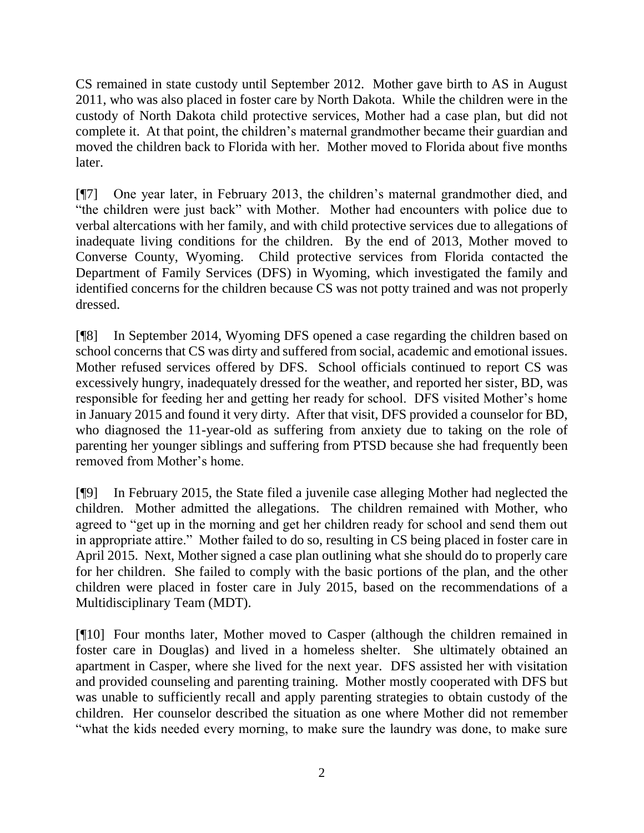CS remained in state custody until September 2012. Mother gave birth to AS in August 2011, who was also placed in foster care by North Dakota. While the children were in the custody of North Dakota child protective services, Mother had a case plan, but did not complete it. At that point, the children's maternal grandmother became their guardian and moved the children back to Florida with her. Mother moved to Florida about five months later.

[¶7] One year later, in February 2013, the children's maternal grandmother died, and "the children were just back" with Mother. Mother had encounters with police due to verbal altercations with her family, and with child protective services due to allegations of inadequate living conditions for the children. By the end of 2013, Mother moved to Converse County, Wyoming. Child protective services from Florida contacted the Department of Family Services (DFS) in Wyoming, which investigated the family and identified concerns for the children because CS was not potty trained and was not properly dressed.

[¶8] In September 2014, Wyoming DFS opened a case regarding the children based on school concerns that CS was dirty and suffered from social, academic and emotional issues. Mother refused services offered by DFS. School officials continued to report CS was excessively hungry, inadequately dressed for the weather, and reported her sister, BD, was responsible for feeding her and getting her ready for school. DFS visited Mother's home in January 2015 and found it very dirty. After that visit, DFS provided a counselor for BD, who diagnosed the 11-year-old as suffering from anxiety due to taking on the role of parenting her younger siblings and suffering from PTSD because she had frequently been removed from Mother's home.

[¶9] In February 2015, the State filed a juvenile case alleging Mother had neglected the children. Mother admitted the allegations. The children remained with Mother, who agreed to "get up in the morning and get her children ready for school and send them out in appropriate attire." Mother failed to do so, resulting in CS being placed in foster care in April 2015. Next, Mother signed a case plan outlining what she should do to properly care for her children. She failed to comply with the basic portions of the plan, and the other children were placed in foster care in July 2015, based on the recommendations of a Multidisciplinary Team (MDT).

[¶10] Four months later, Mother moved to Casper (although the children remained in foster care in Douglas) and lived in a homeless shelter. She ultimately obtained an apartment in Casper, where she lived for the next year. DFS assisted her with visitation and provided counseling and parenting training. Mother mostly cooperated with DFS but was unable to sufficiently recall and apply parenting strategies to obtain custody of the children. Her counselor described the situation as one where Mother did not remember "what the kids needed every morning, to make sure the laundry was done, to make sure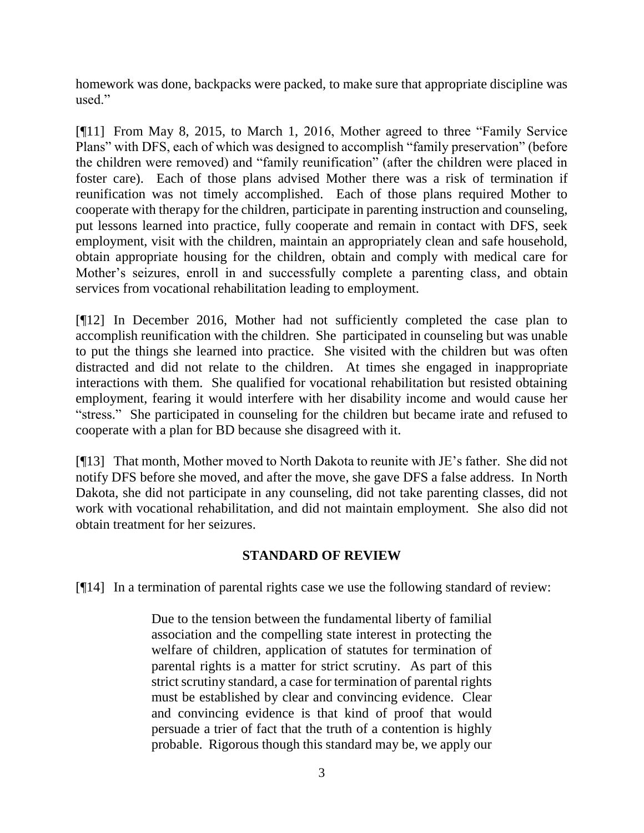homework was done, backpacks were packed, to make sure that appropriate discipline was used."

[¶11] From May 8, 2015, to March 1, 2016, Mother agreed to three "Family Service Plans" with DFS, each of which was designed to accomplish "family preservation" (before the children were removed) and "family reunification" (after the children were placed in foster care). Each of those plans advised Mother there was a risk of termination if reunification was not timely accomplished. Each of those plans required Mother to cooperate with therapy for the children, participate in parenting instruction and counseling, put lessons learned into practice, fully cooperate and remain in contact with DFS, seek employment, visit with the children, maintain an appropriately clean and safe household, obtain appropriate housing for the children, obtain and comply with medical care for Mother's seizures, enroll in and successfully complete a parenting class, and obtain services from vocational rehabilitation leading to employment.

[¶12] In December 2016, Mother had not sufficiently completed the case plan to accomplish reunification with the children. She participated in counseling but was unable to put the things she learned into practice. She visited with the children but was often distracted and did not relate to the children. At times she engaged in inappropriate interactions with them. She qualified for vocational rehabilitation but resisted obtaining employment, fearing it would interfere with her disability income and would cause her "stress." She participated in counseling for the children but became irate and refused to cooperate with a plan for BD because she disagreed with it.

[¶13] That month, Mother moved to North Dakota to reunite with JE's father. She did not notify DFS before she moved, and after the move, she gave DFS a false address. In North Dakota, she did not participate in any counseling, did not take parenting classes, did not work with vocational rehabilitation, and did not maintain employment. She also did not obtain treatment for her seizures.

# **STANDARD OF REVIEW**

[¶14] In a termination of parental rights case we use the following standard of review:

Due to the tension between the fundamental liberty of familial association and the compelling state interest in protecting the welfare of children, application of statutes for termination of parental rights is a matter for strict scrutiny. As part of this strict scrutiny standard, a case for termination of parental rights must be established by clear and convincing evidence. Clear and convincing evidence is that kind of proof that would persuade a trier of fact that the truth of a contention is highly probable. Rigorous though this standard may be, we apply our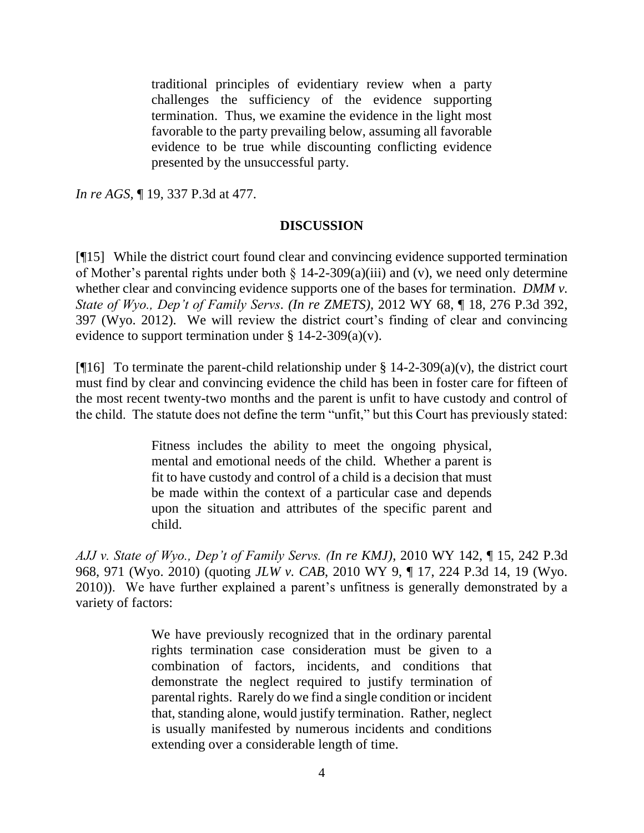traditional principles of evidentiary review when a party challenges the sufficiency of the evidence supporting termination. Thus, we examine the evidence in the light most favorable to the party prevailing below, assuming all favorable evidence to be true while discounting conflicting evidence presented by the unsuccessful party.

*In re AGS,* ¶ 19, 337 P.3d at 477.

### **DISCUSSION**

[¶15] While the district court found clear and convincing evidence supported termination of Mother's parental rights under both  $\S$  14-2-309(a)(iii) and (v), we need only determine whether clear and convincing evidence supports one of the bases for termination. *DMM v. State of Wyo., Dep't of Family Servs. (In re ZMETS),* 2012 WY 68, ¶ 18, 276 P.3d 392, 397 (Wyo. 2012). We will review the district court's finding of clear and convincing evidence to support termination under  $\S 14-2-309(a)(v)$ .

[ $[16]$ ] To terminate the parent-child relationship under § 14-2-309(a)(v), the district court must find by clear and convincing evidence the child has been in foster care for fifteen of the most recent twenty-two months and the parent is unfit to have custody and control of the child. The statute does not define the term "unfit," but this Court has previously stated:

> Fitness includes the ability to meet the ongoing physical, mental and emotional needs of the child. Whether a parent is fit to have custody and control of a child is a decision that must be made within the context of a particular case and depends upon the situation and attributes of the specific parent and child.

*AJJ v. State of Wyo., Dep't of Family Servs. (In re KMJ)*, 2010 WY 142, ¶ 15, 242 P.3d 968, 971 (Wyo. 2010) (quoting *JLW v. CAB*, 2010 WY 9, ¶ 17, 224 P.3d 14, 19 (Wyo. 2010)). We have further explained a parent's unfitness is generally demonstrated by a variety of factors:

> We have previously recognized that in the ordinary parental rights termination case consideration must be given to a combination of factors, incidents, and conditions that demonstrate the neglect required to justify termination of parental rights. Rarely do we find a single condition or incident that, standing alone, would justify termination. Rather, neglect is usually manifested by numerous incidents and conditions extending over a considerable length of time.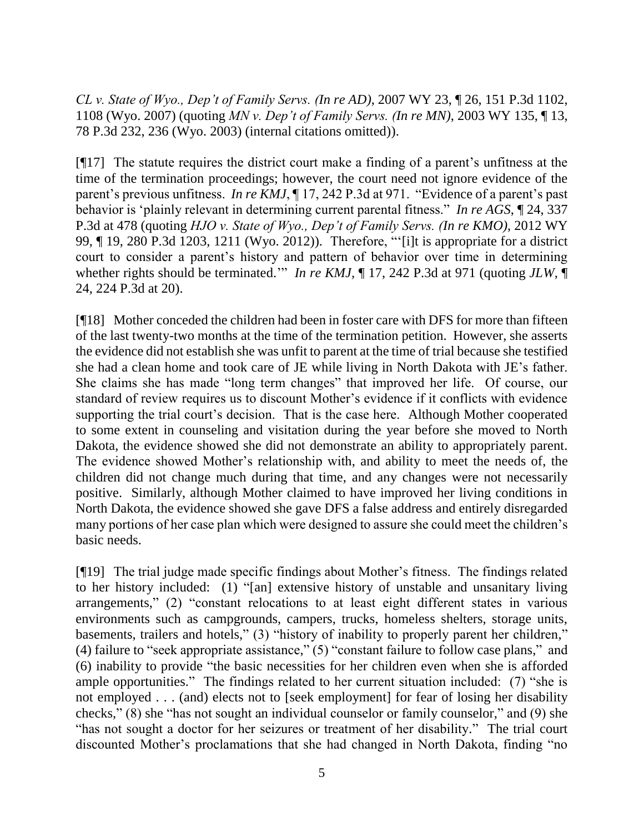*CL v. State of Wyo., Dep't of Family Servs. (In re AD)*, 2007 WY 23, ¶ 26, 151 P.3d 1102, 1108 (Wyo. 2007) (quoting *MN v. Dep't of Family Servs. (In re MN)*, 2003 WY 135, ¶ 13, 78 P.3d 232, 236 (Wyo. 2003) (internal citations omitted)).

[¶17] The statute requires the district court make a finding of a parent's unfitness at the time of the termination proceedings; however, the court need not ignore evidence of the parent's previous unfitness. *In re KMJ*, ¶ 17, 242 P.3d at 971. "Evidence of a parent's past behavior is 'plainly relevant in determining current parental fitness." *In re AGS*, ¶ 24, 337 P.3d at 478 (quoting *HJO v. State of Wyo., Dep't of Family Servs. (In re KMO)*, 2012 WY 99, ¶ 19, 280 P.3d 1203, 1211 (Wyo. 2012)). Therefore, "'[i]t is appropriate for a district court to consider a parent's history and pattern of behavior over time in determining whether rights should be terminated.'" *In re KMJ*,  $\P$  17, 242 P.3d at 971 (quoting *JLW*,  $\P$ 24, 224 P.3d at 20).

[¶18] Mother conceded the children had been in foster care with DFS for more than fifteen of the last twenty-two months at the time of the termination petition. However, she asserts the evidence did not establish she was unfit to parent at the time of trial because she testified she had a clean home and took care of JE while living in North Dakota with JE's father. She claims she has made "long term changes" that improved her life. Of course, our standard of review requires us to discount Mother's evidence if it conflicts with evidence supporting the trial court's decision. That is the case here. Although Mother cooperated to some extent in counseling and visitation during the year before she moved to North Dakota, the evidence showed she did not demonstrate an ability to appropriately parent. The evidence showed Mother's relationship with, and ability to meet the needs of, the children did not change much during that time, and any changes were not necessarily positive. Similarly, although Mother claimed to have improved her living conditions in North Dakota, the evidence showed she gave DFS a false address and entirely disregarded many portions of her case plan which were designed to assure she could meet the children's basic needs.

[¶19] The trial judge made specific findings about Mother's fitness. The findings related to her history included: (1) "[an] extensive history of unstable and unsanitary living arrangements," (2) "constant relocations to at least eight different states in various environments such as campgrounds, campers, trucks, homeless shelters, storage units, basements, trailers and hotels," (3) "history of inability to properly parent her children," (4) failure to "seek appropriate assistance," (5) "constant failure to follow case plans," and (6) inability to provide "the basic necessities for her children even when she is afforded ample opportunities." The findings related to her current situation included: (7) "she is not employed . . . (and) elects not to [seek employment] for fear of losing her disability checks," (8) she "has not sought an individual counselor or family counselor," and (9) she "has not sought a doctor for her seizures or treatment of her disability." The trial court discounted Mother's proclamations that she had changed in North Dakota, finding "no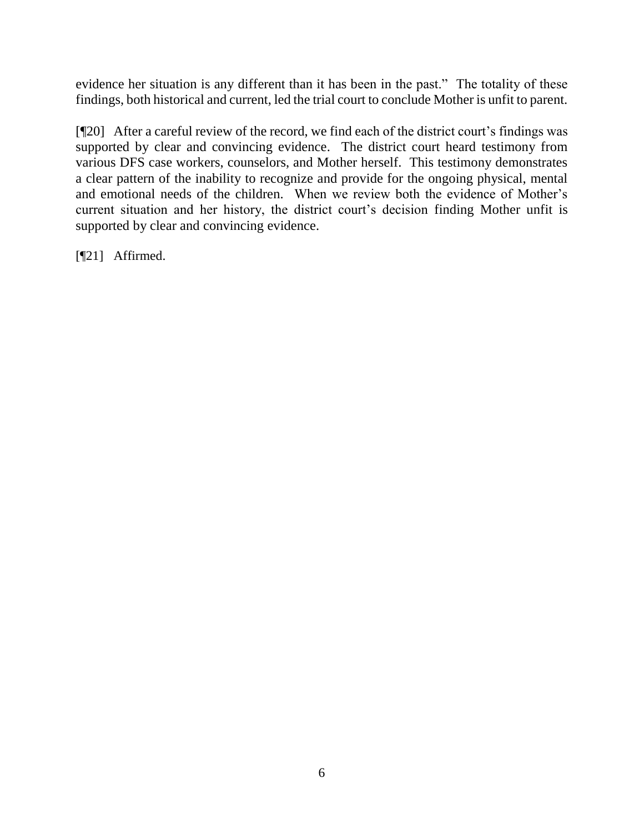evidence her situation is any different than it has been in the past." The totality of these findings, both historical and current, led the trial court to conclude Mother is unfit to parent.

[¶20] After a careful review of the record, we find each of the district court's findings was supported by clear and convincing evidence. The district court heard testimony from various DFS case workers, counselors, and Mother herself. This testimony demonstrates a clear pattern of the inability to recognize and provide for the ongoing physical, mental and emotional needs of the children. When we review both the evidence of Mother's current situation and her history, the district court's decision finding Mother unfit is supported by clear and convincing evidence.

[¶21] Affirmed.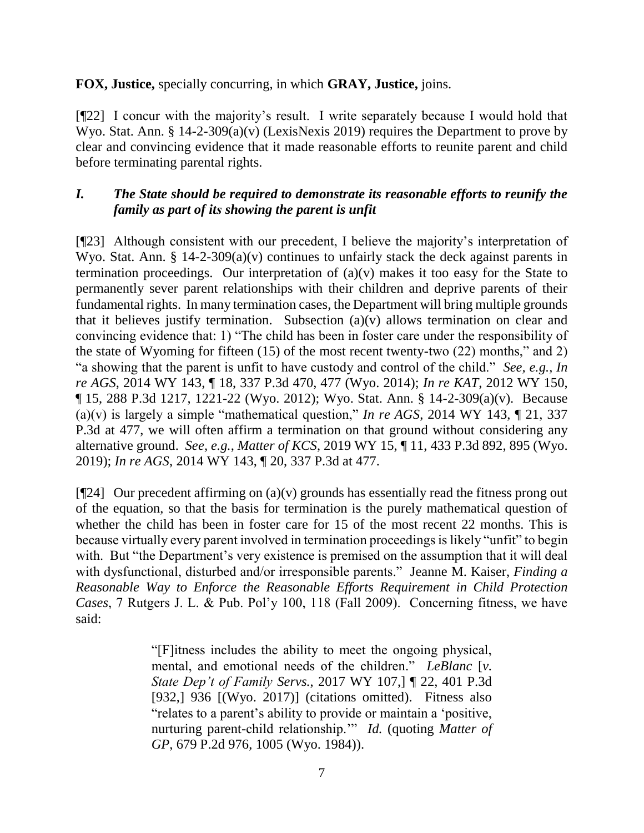# **FOX, Justice,** specially concurring, in which **GRAY, Justice,** joins.

[¶22] I concur with the majority's result. I write separately because I would hold that Wyo. Stat. Ann. § 14-2-309(a)(v) (LexisNexis 2019) requires the Department to prove by clear and convincing evidence that it made reasonable efforts to reunite parent and child before terminating parental rights.

# *I. The State should be required to demonstrate its reasonable efforts to reunify the family as part of its showing the parent is unfit*

[¶23] Although consistent with our precedent, I believe the majority's interpretation of Wyo. Stat. Ann.  $\S$  14-2-309(a)(v) continues to unfairly stack the deck against parents in termination proceedings. Our interpretation of  $(a)(v)$  makes it too easy for the State to permanently sever parent relationships with their children and deprive parents of their fundamental rights. In many termination cases, the Department will bring multiple grounds that it believes justify termination. Subsection (a)(v) allows termination on clear and convincing evidence that: 1) "The child has been in foster care under the responsibility of the state of Wyoming for fifteen (15) of the most recent twenty-two (22) months," and 2) "a showing that the parent is unfit to have custody and control of the child." *See, e.g.*, *In re AGS*, 2014 WY 143, ¶ 18, 337 P.3d 470, 477 (Wyo. 2014); *In re KAT*, 2012 WY 150, ¶ 15, 288 P.3d 1217, 1221-22 (Wyo. 2012); Wyo. Stat. Ann. § 14-2-309(a)(v). Because (a)(v) is largely a simple "mathematical question," *In re AGS*, 2014 WY 143, ¶ 21, 337 P.3d at 477, we will often affirm a termination on that ground without considering any alternative ground. *See, e.g.*, *Matter of KCS*, 2019 WY 15, ¶ 11, 433 P.3d 892, 895 (Wyo. 2019); *In re AGS*, 2014 WY 143, ¶ 20, 337 P.3d at 477.

[ $[924]$  Our precedent affirming on (a)(v) grounds has essentially read the fitness prong out of the equation, so that the basis for termination is the purely mathematical question of whether the child has been in foster care for 15 of the most recent 22 months. This is because virtually every parent involved in termination proceedings is likely "unfit" to begin with. But "the Department's very existence is premised on the assumption that it will deal with dysfunctional, disturbed and/or irresponsible parents." Jeanne M. Kaiser, *Finding a Reasonable Way to Enforce the Reasonable Efforts Requirement in Child Protection Cases*, 7 Rutgers J. L. & Pub. Pol'y 100, 118 (Fall 2009). Concerning fitness, we have said:

> "[F]itness includes the ability to meet the ongoing physical, mental, and emotional needs of the children." *LeBlanc* [*v. State Dep't of Family Servs.*, 2017 WY 107,] ¶ 22, 401 P.3d [932,] 936 [(Wyo. 2017)] (citations omitted). Fitness also "relates to a parent's ability to provide or maintain a 'positive, nurturing parent-child relationship.'" *Id.* (quoting *Matter of GP*, 679 P.2d 976, 1005 (Wyo. 1984)).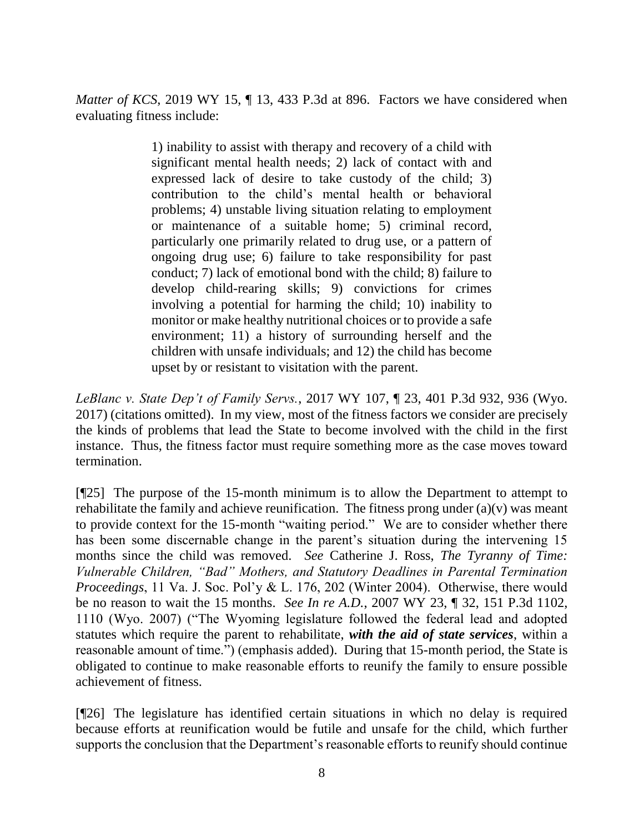*Matter of KCS*, 2019 WY 15,  $\P$  13, 433 P.3d at 896. Factors we have considered when evaluating fitness include:

> 1) inability to assist with therapy and recovery of a child with significant mental health needs; 2) lack of contact with and expressed lack of desire to take custody of the child; 3) contribution to the child's mental health or behavioral problems; 4) unstable living situation relating to employment or maintenance of a suitable home; 5) criminal record, particularly one primarily related to drug use, or a pattern of ongoing drug use; 6) failure to take responsibility for past conduct; 7) lack of emotional bond with the child; 8) failure to develop child-rearing skills; 9) convictions for crimes involving a potential for harming the child; 10) inability to monitor or make healthy nutritional choices or to provide a safe environment; 11) a history of surrounding herself and the children with unsafe individuals; and 12) the child has become upset by or resistant to visitation with the parent.

*LeBlanc v. State Dep't of Family Servs.*, 2017 WY 107, ¶ 23, 401 P.3d 932, 936 (Wyo. 2017) (citations omitted). In my view, most of the fitness factors we consider are precisely the kinds of problems that lead the State to become involved with the child in the first instance. Thus, the fitness factor must require something more as the case moves toward termination.

[¶25] The purpose of the 15-month minimum is to allow the Department to attempt to rehabilitate the family and achieve reunification. The fitness prong under  $(a)(v)$  was meant to provide context for the 15-month "waiting period." We are to consider whether there has been some discernable change in the parent's situation during the intervening 15 months since the child was removed. *See* Catherine J. Ross, *The Tyranny of Time: Vulnerable Children, "Bad" Mothers, and Statutory Deadlines in Parental Termination Proceedings*, 11 Va. J. Soc. Pol'y & L. 176, 202 (Winter 2004). Otherwise, there would be no reason to wait the 15 months. *See In re A.D.*, 2007 WY 23, ¶ 32, 151 P.3d 1102, 1110 (Wyo. 2007) ("The Wyoming legislature followed the federal lead and adopted statutes which require the parent to rehabilitate, *with the aid of state services*, within a reasonable amount of time.") (emphasis added). During that 15-month period, the State is obligated to continue to make reasonable efforts to reunify the family to ensure possible achievement of fitness.

[¶26] The legislature has identified certain situations in which no delay is required because efforts at reunification would be futile and unsafe for the child, which further supports the conclusion that the Department's reasonable efforts to reunify should continue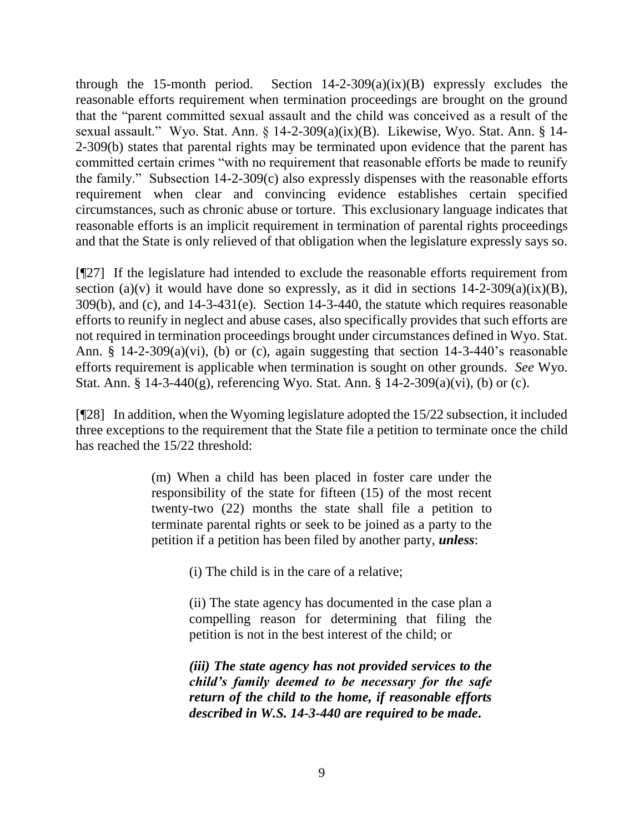through the 15-month period. Section  $14-2-309(a)(ix)(B)$  expressly excludes the reasonable efforts requirement when termination proceedings are brought on the ground that the "parent committed sexual assault and the child was conceived as a result of the sexual assault." Wyo. Stat. Ann. § 14-2-309(a)(ix)(B). Likewise, Wyo. Stat. Ann. § 14- 2-309(b) states that parental rights may be terminated upon evidence that the parent has committed certain crimes "with no requirement that reasonable efforts be made to reunify the family." Subsection 14-2-309(c) also expressly dispenses with the reasonable efforts requirement when clear and convincing evidence establishes certain specified circumstances, such as chronic abuse or torture. This exclusionary language indicates that reasonable efforts is an implicit requirement in termination of parental rights proceedings and that the State is only relieved of that obligation when the legislature expressly says so.

[¶27] If the legislature had intended to exclude the reasonable efforts requirement from section (a)(v) it would have done so expressly, as it did in sections  $14$ -2-309(a)(ix)(B), 309(b), and (c), and 14-3-431(e). Section 14-3-440, the statute which requires reasonable efforts to reunify in neglect and abuse cases, also specifically provides that such efforts are not required in termination proceedings brought under circumstances defined in Wyo. Stat. Ann. § 14-2-309(a)(vi), (b) or (c), again suggesting that section 14-3-440's reasonable efforts requirement is applicable when termination is sought on other grounds. *See* Wyo. Stat. Ann. § 14-3-440(g), referencing Wyo. Stat. Ann. § 14-2-309(a)(vi), (b) or (c).

[¶28] In addition, when the Wyoming legislature adopted the 15/22 subsection, it included three exceptions to the requirement that the State file a petition to terminate once the child has reached the 15/22 threshold:

> (m) When a child has been placed in foster care under the responsibility of the state for fifteen (15) of the most recent twenty-two (22) months the state shall file a petition to terminate parental rights or seek to be joined as a party to the petition if a petition has been filed by another party, *unless*:

> > (i) The child is in the care of a relative;

(ii) The state agency has documented in the case plan a compelling reason for determining that filing the petition is not in the best interest of the child; or

*(iii) The state agency has not provided services to the child's family deemed to be necessary for the safe return of the child to the home, if reasonable efforts described in W.S. 14-3-440 are required to be made***.**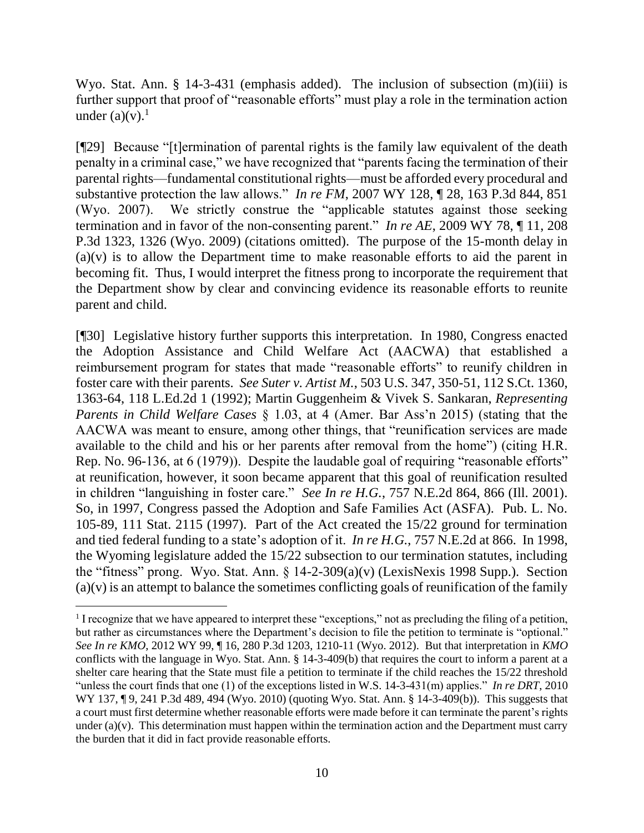Wyo. Stat. Ann. § 14-3-431 (emphasis added). The inclusion of subsection (m)(iii) is further support that proof of "reasonable efforts" must play a role in the termination action under  $(a)(v)$ .<sup>1</sup>

[¶29] Because "[t]ermination of parental rights is the family law equivalent of the death penalty in a criminal case," we have recognized that "parents facing the termination of their parental rights—fundamental constitutional rights—must be afforded every procedural and substantive protection the law allows." *In re FM*, 2007 WY 128, ¶ 28, 163 P.3d 844, 851 (Wyo. 2007). We strictly construe the "applicable statutes against those seeking termination and in favor of the non-consenting parent." *In re AE*, 2009 WY 78, ¶ 11, 208 P.3d 1323, 1326 (Wyo. 2009) (citations omitted). The purpose of the 15-month delay in (a)(v) is to allow the Department time to make reasonable efforts to aid the parent in becoming fit. Thus, I would interpret the fitness prong to incorporate the requirement that the Department show by clear and convincing evidence its reasonable efforts to reunite parent and child.

[¶30] Legislative history further supports this interpretation. In 1980, Congress enacted the Adoption Assistance and Child Welfare Act (AACWA) that established a reimbursement program for states that made "reasonable efforts" to reunify children in foster care with their parents. *See Suter v. Artist M.*, 503 U.S. 347, 350-51, 112 S.Ct. 1360, 1363-64, 118 L.Ed.2d 1 (1992); Martin Guggenheim & Vivek S. Sankaran, *Representing Parents in Child Welfare Cases* § 1.03, at 4 (Amer. Bar Ass'n 2015) (stating that the AACWA was meant to ensure, among other things, that "reunification services are made available to the child and his or her parents after removal from the home") (citing H.R. Rep. No. 96-136, at 6 (1979)). Despite the laudable goal of requiring "reasonable efforts" at reunification, however, it soon became apparent that this goal of reunification resulted in children "languishing in foster care." *See In re H.G.*, 757 N.E.2d 864, 866 (Ill. 2001). So, in 1997, Congress passed the Adoption and Safe Families Act (ASFA). Pub. L. No. 105-89, 111 Stat. 2115 (1997). Part of the Act created the 15/22 ground for termination and tied federal funding to a state's adoption of it. *In re H.G.*, 757 N.E.2d at 866. In 1998, the Wyoming legislature added the 15/22 subsection to our termination statutes, including the "fitness" prong. Wyo. Stat. Ann. § 14-2-309(a)(v) (LexisNexis 1998 Supp.). Section  $(a)(v)$  is an attempt to balance the sometimes conflicting goals of reunification of the family

<sup>&</sup>lt;sup>1</sup> I recognize that we have appeared to interpret these "exceptions," not as precluding the filing of a petition, but rather as circumstances where the Department's decision to file the petition to terminate is "optional." *See In re KMO*, 2012 WY 99, ¶ 16, 280 P.3d 1203, 1210-11 (Wyo. 2012). But that interpretation in *KMO* conflicts with the language in Wyo. Stat. Ann. § 14-3-409(b) that requires the court to inform a parent at a shelter care hearing that the State must file a petition to terminate if the child reaches the 15/22 threshold "unless the court finds that one (1) of the exceptions listed in W.S. 14-3-431(m) applies." *In re DRT*, 2010 WY 137, ¶ 9, 241 P.3d 489, 494 (Wyo. 2010) (quoting Wyo. Stat. Ann. § 14-3-409(b)). This suggests that a court must first determine whether reasonable efforts were made before it can terminate the parent's rights under  $(a)(v)$ . This determination must happen within the termination action and the Department must carry the burden that it did in fact provide reasonable efforts.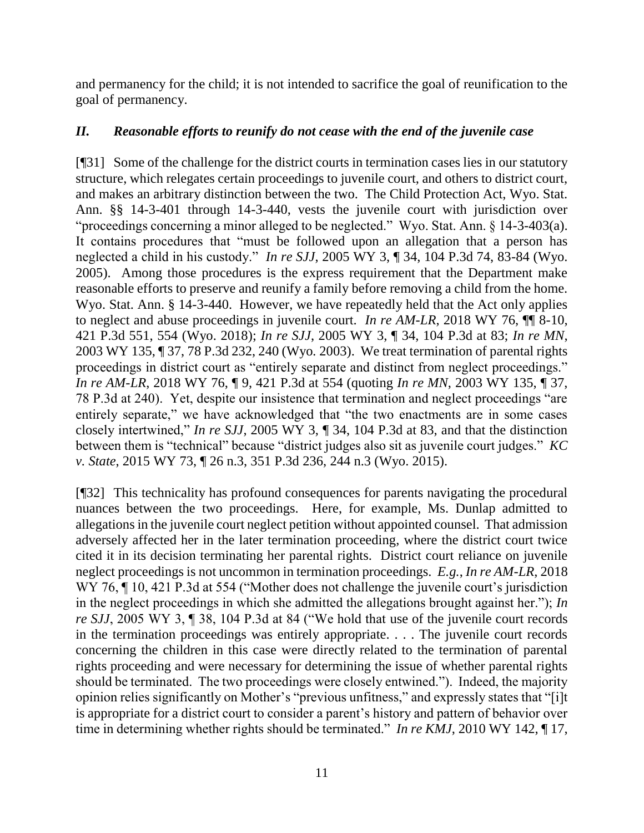and permanency for the child; it is not intended to sacrifice the goal of reunification to the goal of permanency.

# *II. Reasonable efforts to reunify do not cease with the end of the juvenile case*

[¶31] Some of the challenge for the district courts in termination cases lies in our statutory structure, which relegates certain proceedings to juvenile court, and others to district court, and makes an arbitrary distinction between the two. The Child Protection Act, Wyo. Stat. Ann. §§ 14-3-401 through 14-3-440, vests the juvenile court with jurisdiction over "proceedings concerning a minor alleged to be neglected." Wyo. Stat. Ann. § 14-3-403(a). It contains procedures that "must be followed upon an allegation that a person has neglected a child in his custody." *In re SJJ*, 2005 WY 3, ¶ 34, 104 P.3d 74, 83-84 (Wyo. 2005). Among those procedures is the express requirement that the Department make reasonable efforts to preserve and reunify a family before removing a child from the home. Wyo. Stat. Ann. § 14-3-440. However, we have repeatedly held that the Act only applies to neglect and abuse proceedings in juvenile court. *In re AM-LR*, 2018 WY 76, ¶¶ 8-10, 421 P.3d 551, 554 (Wyo. 2018); *In re SJJ*, 2005 WY 3, ¶ 34, 104 P.3d at 83; *In re MN*, 2003 WY 135, ¶ 37, 78 P.3d 232, 240 (Wyo*.* 2003). We treat termination of parental rights proceedings in district court as "entirely separate and distinct from neglect proceedings." *In re AM-LR*, 2018 WY 76, ¶ 9, 421 P.3d at 554 (quoting *In re MN*, 2003 WY 135, ¶ 37, 78 P.3d at 240). Yet, despite our insistence that termination and neglect proceedings "are entirely separate," we have acknowledged that "the two enactments are in some cases closely intertwined," *In re SJJ*, 2005 WY 3, ¶ 34, 104 P.3d at 83, and that the distinction between them is "technical" because "district judges also sit as juvenile court judges." *KC v. State*, 2015 WY 73, ¶ 26 n.3, 351 P.3d 236, 244 n.3 (Wyo. 2015).

[¶32] This technicality has profound consequences for parents navigating the procedural nuances between the two proceedings. Here, for example, Ms. Dunlap admitted to allegations in the juvenile court neglect petition without appointed counsel. That admission adversely affected her in the later termination proceeding, where the district court twice cited it in its decision terminating her parental rights. District court reliance on juvenile neglect proceedings is not uncommon in termination proceedings. *E.g.*, *In re AM-LR*, 2018 WY 76,  $\P$  10, 421 P.3d at 554 ("Mother does not challenge the juvenile court's jurisdiction in the neglect proceedings in which she admitted the allegations brought against her."); *In re SJJ*, 2005 WY 3, ¶ 38, 104 P.3d at 84 ("We hold that use of the juvenile court records in the termination proceedings was entirely appropriate. . . . The juvenile court records concerning the children in this case were directly related to the termination of parental rights proceeding and were necessary for determining the issue of whether parental rights should be terminated. The two proceedings were closely entwined."). Indeed, the majority opinion relies significantly on Mother's "previous unfitness," and expressly states that "[i]t is appropriate for a district court to consider a parent's history and pattern of behavior over time in determining whether rights should be terminated." *In re KMJ*, 2010 WY 142, ¶ 17,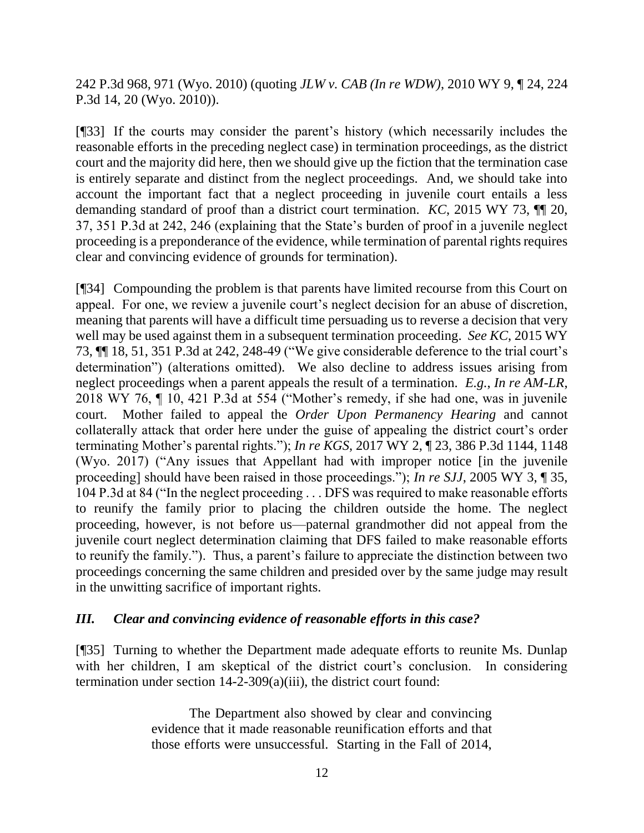242 P.3d 968, 971 (Wyo. 2010) (quoting *JLW v. CAB (In re WDW)*, 2010 WY 9, ¶ 24, 224 P.3d 14, 20 (Wyo. 2010)).

[¶33] If the courts may consider the parent's history (which necessarily includes the reasonable efforts in the preceding neglect case) in termination proceedings, as the district court and the majority did here, then we should give up the fiction that the termination case is entirely separate and distinct from the neglect proceedings. And, we should take into account the important fact that a neglect proceeding in juvenile court entails a less demanding standard of proof than a district court termination. *KC*, 2015 WY 73, ¶¶ 20, 37, 351 P.3d at 242, 246 (explaining that the State's burden of proof in a juvenile neglect proceeding is a preponderance of the evidence, while termination of parental rights requires clear and convincing evidence of grounds for termination).

[¶34] Compounding the problem is that parents have limited recourse from this Court on appeal. For one, we review a juvenile court's neglect decision for an abuse of discretion, meaning that parents will have a difficult time persuading us to reverse a decision that very well may be used against them in a subsequent termination proceeding. *See KC*, 2015 WY 73, ¶¶ 18, 51, 351 P.3d at 242, 248-49 ("We give considerable deference to the trial court's determination") (alterations omitted)*.* We also decline to address issues arising from neglect proceedings when a parent appeals the result of a termination. *E.g.*, *In re AM-LR*, 2018 WY 76, ¶ 10, 421 P.3d at 554 ("Mother's remedy, if she had one, was in juvenile court. Mother failed to appeal the *Order Upon Permanency Hearing* and cannot collaterally attack that order here under the guise of appealing the district court's order terminating Mother's parental rights."); *In re KGS*, 2017 WY 2, ¶ 23, 386 P.3d 1144, 1148 (Wyo. 2017) ("Any issues that Appellant had with improper notice [in the juvenile proceeding] should have been raised in those proceedings."); *In re SJJ*, 2005 WY 3, ¶ 35, 104 P.3d at 84 ("In the neglect proceeding . . . DFS was required to make reasonable efforts to reunify the family prior to placing the children outside the home. The neglect proceeding, however, is not before us—paternal grandmother did not appeal from the juvenile court neglect determination claiming that DFS failed to make reasonable efforts to reunify the family."). Thus, a parent's failure to appreciate the distinction between two proceedings concerning the same children and presided over by the same judge may result in the unwitting sacrifice of important rights.

# *III. Clear and convincing evidence of reasonable efforts in this case?*

[¶35] Turning to whether the Department made adequate efforts to reunite Ms. Dunlap with her children, I am skeptical of the district court's conclusion. In considering termination under section 14-2-309(a)(iii), the district court found:

> The Department also showed by clear and convincing evidence that it made reasonable reunification efforts and that those efforts were unsuccessful. Starting in the Fall of 2014,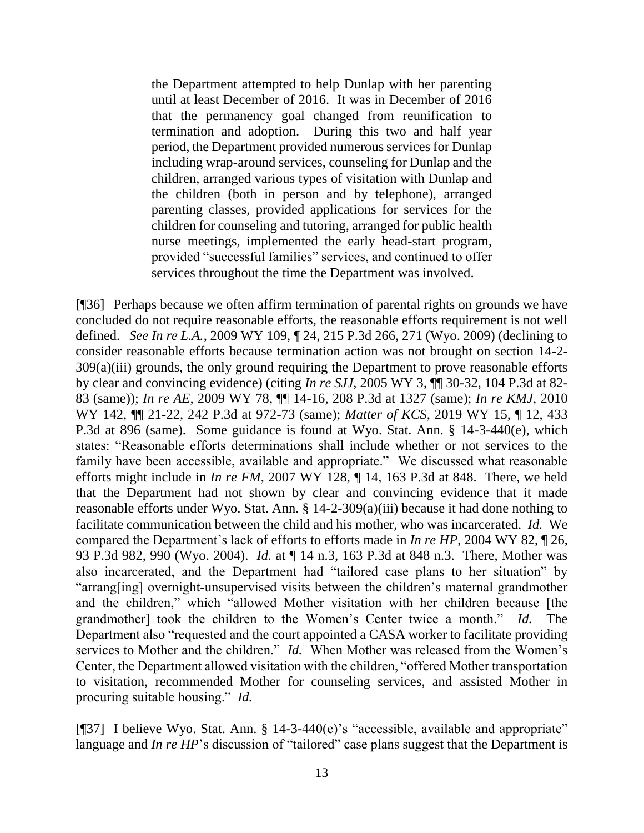the Department attempted to help Dunlap with her parenting until at least December of 2016. It was in December of 2016 that the permanency goal changed from reunification to termination and adoption. During this two and half year period, the Department provided numerous services for Dunlap including wrap-around services, counseling for Dunlap and the children, arranged various types of visitation with Dunlap and the children (both in person and by telephone), arranged parenting classes, provided applications for services for the children for counseling and tutoring, arranged for public health nurse meetings, implemented the early head-start program, provided "successful families" services, and continued to offer services throughout the time the Department was involved.

[¶36] Perhaps because we often affirm termination of parental rights on grounds we have concluded do not require reasonable efforts, the reasonable efforts requirement is not well defined. *See In re L.A.*, 2009 WY 109, ¶ 24, 215 P.3d 266, 271 (Wyo. 2009) (declining to consider reasonable efforts because termination action was not brought on section 14-2- 309(a)(iii) grounds, the only ground requiring the Department to prove reasonable efforts by clear and convincing evidence) (citing *In re SJJ*, 2005 WY 3, ¶¶ 30-32, 104 P.3d at 82- 83 (same)); *In re AE*, 2009 WY 78, ¶¶ 14-16, 208 P.3d at 1327 (same); *In re KMJ*, 2010 WY 142, ¶¶ 21-22, 242 P.3d at 972-73 (same); *Matter of KCS*, 2019 WY 15, ¶ 12, 433 P.3d at 896 (same). Some guidance is found at Wyo. Stat. Ann. § 14-3-440(e), which states: "Reasonable efforts determinations shall include whether or not services to the family have been accessible, available and appropriate." We discussed what reasonable efforts might include in *In re FM*, 2007 WY 128, ¶ 14, 163 P.3d at 848. There, we held that the Department had not shown by clear and convincing evidence that it made reasonable efforts under Wyo. Stat. Ann. § 14-2-309(a)(iii) because it had done nothing to facilitate communication between the child and his mother, who was incarcerated. *Id.* We compared the Department's lack of efforts to efforts made in *In re HP*, 2004 WY 82, ¶ 26, 93 P.3d 982, 990 (Wyo. 2004). *Id.* at ¶ 14 n.3, 163 P.3d at 848 n.3. There, Mother was also incarcerated, and the Department had "tailored case plans to her situation" by "arrang[ing] overnight-unsupervised visits between the children's maternal grandmother and the children," which "allowed Mother visitation with her children because [the grandmother] took the children to the Women's Center twice a month." *Id.* The Department also "requested and the court appointed a CASA worker to facilitate providing services to Mother and the children." *Id.* When Mother was released from the Women's Center, the Department allowed visitation with the children, "offered Mother transportation to visitation, recommended Mother for counseling services, and assisted Mother in procuring suitable housing." *Id.*

[¶37] I believe Wyo. Stat. Ann. § 14-3-440(e)'s "accessible, available and appropriate" language and *In re HP*'s discussion of "tailored" case plans suggest that the Department is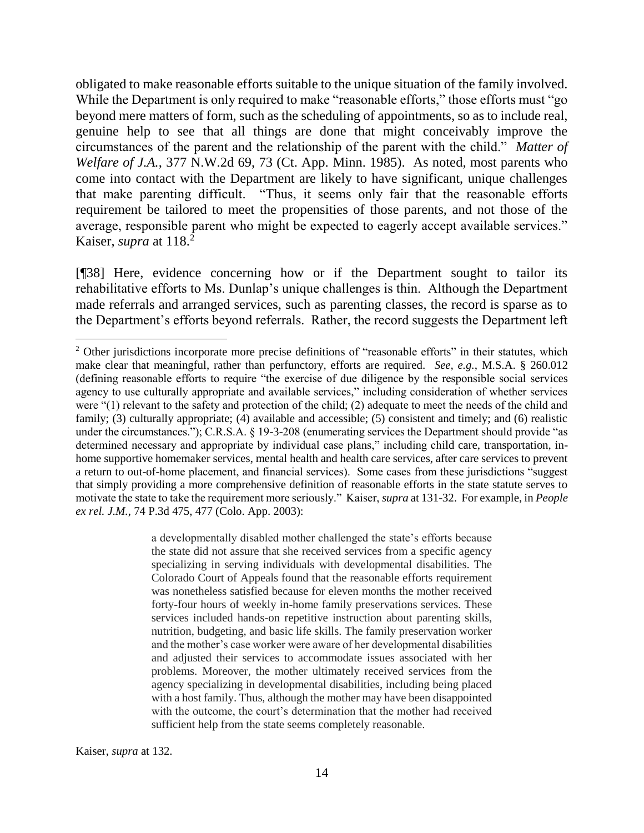obligated to make reasonable efforts suitable to the unique situation of the family involved. While the Department is only required to make "reasonable efforts," those efforts must "go beyond mere matters of form, such as the scheduling of appointments, so as to include real, genuine help to see that all things are done that might conceivably improve the circumstances of the parent and the relationship of the parent with the child." *Matter of Welfare of J.A.*, 377 N.W.2d 69, 73 (Ct. App. Minn. 1985). As noted, most parents who come into contact with the Department are likely to have significant, unique challenges that make parenting difficult. "Thus, it seems only fair that the reasonable efforts requirement be tailored to meet the propensities of those parents, and not those of the average, responsible parent who might be expected to eagerly accept available services." Kaiser, *supra* at 118.<sup>2</sup>

[¶38] Here, evidence concerning how or if the Department sought to tailor its rehabilitative efforts to Ms. Dunlap's unique challenges is thin. Although the Department made referrals and arranged services, such as parenting classes, the record is sparse as to the Department's efforts beyond referrals. Rather, the record suggests the Department left

a developmentally disabled mother challenged the state's efforts because the state did not assure that she received services from a specific agency specializing in serving individuals with developmental disabilities. The Colorado Court of Appeals found that the reasonable efforts requirement was nonetheless satisfied because for eleven months the mother received forty-four hours of weekly in-home family preservations services. These services included hands-on repetitive instruction about parenting skills, nutrition, budgeting, and basic life skills. The family preservation worker and the mother's case worker were aware of her developmental disabilities and adjusted their services to accommodate issues associated with her problems. Moreover, the mother ultimately received services from the agency specializing in developmental disabilities, including being placed with a host family. Thus, although the mother may have been disappointed with the outcome, the court's determination that the mother had received sufficient help from the state seems completely reasonable.

<sup>&</sup>lt;sup>2</sup> Other jurisdictions incorporate more precise definitions of "reasonable efforts" in their statutes, which make clear that meaningful, rather than perfunctory, efforts are required. *See, e.g.*, M.S.A. § 260.012 (defining reasonable efforts to require "the exercise of due diligence by the responsible social services agency to use culturally appropriate and available services," including consideration of whether services were "(1) relevant to the safety and protection of the child; (2) adequate to meet the needs of the child and family; (3) culturally appropriate; (4) available and accessible; (5) consistent and timely; and (6) realistic under the circumstances."); C.R.S.A. § 19-3-208 (enumerating services the Department should provide "as determined necessary and appropriate by individual case plans," including child care, transportation, inhome supportive homemaker services, mental health and health care services, after care services to prevent a return to out-of-home placement, and financial services). Some cases from these jurisdictions "suggest that simply providing a more comprehensive definition of reasonable efforts in the state statute serves to motivate the state to take the requirement more seriously." Kaiser, *supra* at 131-32. For example, in *People ex rel. J.M.*, 74 P.3d 475, 477 (Colo. App. 2003):